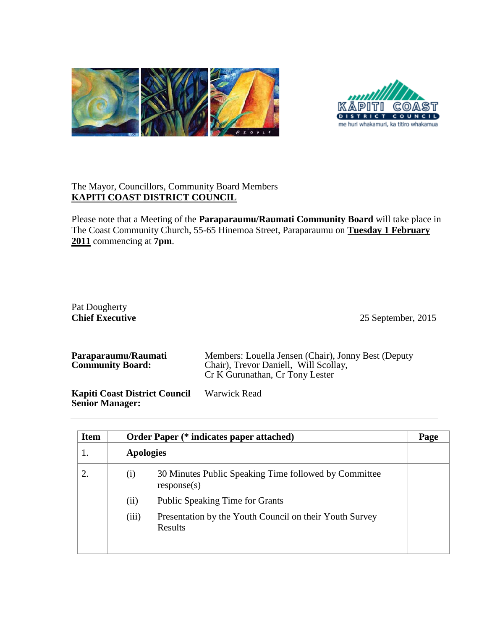



## The Mayor, Councillors, Community Board Members **KAPITI COAST DISTRICT COUNCIL**

Please note that a Meeting of the **Paraparaumu/Raumati Community Board** will take place in The Coast Community Church, 55-65 Hinemoa Street, Paraparaumu on **Tuesday 1 February 2011** commencing at **7pm**.

| Pat Dougherty<br><b>Chief Executive</b>        | 25 September, 2015                                                                                                              |
|------------------------------------------------|---------------------------------------------------------------------------------------------------------------------------------|
| Paraparaumu/Raumati<br><b>Community Board:</b> | Members: Louella Jensen (Chair), Jonny Best (Deputy<br>Chair), Trevor Daniell, Will Scollay,<br>Cr K Gurunathan, Cr Tony Lester |

**Kapiti Coast District Council Senior Manager:** Warwick Read

| <b>Item</b> |                  | <b>Order Paper (* indicates paper attached)</b>                      | Page |
|-------------|------------------|----------------------------------------------------------------------|------|
|             | <b>Apologies</b> |                                                                      |      |
| 2.          | (i)              | 30 Minutes Public Speaking Time followed by Committee<br>response(s) |      |
|             | (ii)             | <b>Public Speaking Time for Grants</b>                               |      |
|             | (iii)            | Presentation by the Youth Council on their Youth Survey<br>Results   |      |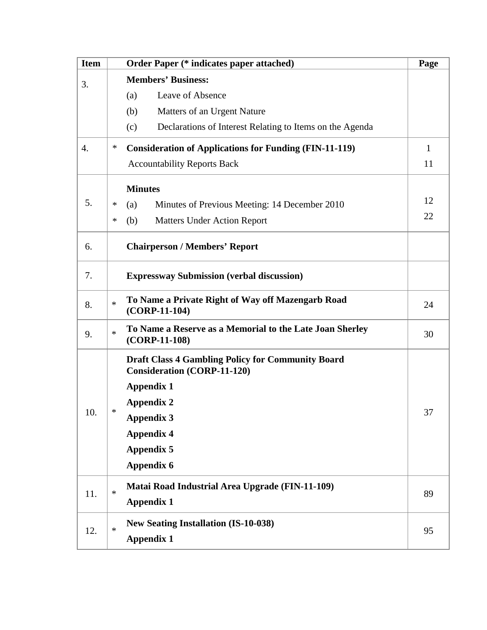| <b>Item</b> |                                                                                                | <b>Order Paper (* indicates paper attached)</b>                             | Page         |
|-------------|------------------------------------------------------------------------------------------------|-----------------------------------------------------------------------------|--------------|
| 3.          | <b>Members' Business:</b>                                                                      |                                                                             |              |
|             |                                                                                                | Leave of Absence<br>(a)                                                     |              |
|             |                                                                                                | (b)<br>Matters of an Urgent Nature                                          |              |
|             |                                                                                                | (c)<br>Declarations of Interest Relating to Items on the Agenda             |              |
| 4.          | ∗                                                                                              | <b>Consideration of Applications for Funding (FIN-11-119)</b>               | $\mathbf{1}$ |
|             |                                                                                                | <b>Accountability Reports Back</b>                                          |              |
|             |                                                                                                | <b>Minutes</b>                                                              |              |
| 5.          | ∗                                                                                              | Minutes of Previous Meeting: 14 December 2010<br>(a)                        | 12           |
|             | ∗                                                                                              | (b)<br><b>Matters Under Action Report</b>                                   | 22           |
| 6.          |                                                                                                | <b>Chairperson / Members' Report</b>                                        |              |
| 7.          |                                                                                                | <b>Expressway Submission (verbal discussion)</b>                            |              |
| 8.          | $\ast$                                                                                         | To Name a Private Right of Way off Mazengarb Road<br>$(CORP-11-104)$        |              |
| 9.          | $\ast$                                                                                         | To Name a Reserve as a Memorial to the Late Joan Sherley<br>$(CORP-11-108)$ | 30           |
| 10          | <b>Draft Class 4 Gambling Policy for Community Board</b><br><b>Consideration (CORP-11-120)</b> |                                                                             |              |
|             |                                                                                                | <b>Appendix 1</b>                                                           |              |
|             | *                                                                                              | <b>Appendix 2</b>                                                           | 37           |
|             |                                                                                                | <b>Appendix 3</b>                                                           |              |
|             |                                                                                                | <b>Appendix 4</b>                                                           |              |
|             |                                                                                                | <b>Appendix 5</b>                                                           |              |
|             |                                                                                                | <b>Appendix 6</b>                                                           |              |
| 11.         | *                                                                                              | Matai Road Industrial Area Upgrade (FIN-11-109)                             | 89           |
|             |                                                                                                | <b>Appendix 1</b>                                                           |              |
| 12.         | $\ast$                                                                                         | <b>New Seating Installation (IS-10-038)</b>                                 | 95           |
|             |                                                                                                | <b>Appendix 1</b>                                                           |              |